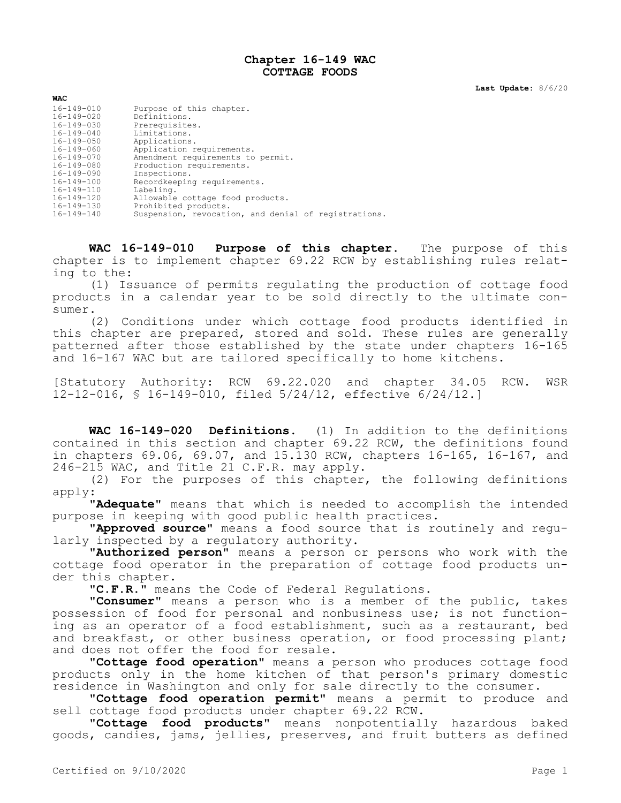## **Chapter 16-149 WAC COTTAGE FOODS**

**Last Update:** 8/6/20

| <b>WAC</b>       |                                                      |
|------------------|------------------------------------------------------|
| $16 - 149 - 010$ | Purpose of this chapter.                             |
| $16 - 149 - 020$ | Definitions.                                         |
| 16-149-030       | Prerequisites.                                       |
| $16 - 149 - 040$ | Limitations.                                         |
| 16-149-050       | Applications.                                        |
| 16-149-060       | Application requirements.                            |
| $16 - 149 - 070$ | Amendment requirements to permit.                    |
| 16-149-080       | Production requirements.                             |
| 16-149-090       | Inspections.                                         |
| $16 - 149 - 100$ | Recordkeeping requirements.                          |
| 16-149-110       | Labeling.                                            |
| 16-149-120       | Allowable cottage food products.                     |
| 16-149-130       | Prohibited products.                                 |
| 16-149-140       | Suspension, revocation, and denial of registrations. |

**WAC 16-149-010 Purpose of this chapter.** The purpose of this chapter is to implement chapter 69.22 RCW by establishing rules relating to the:

(1) Issuance of permits regulating the production of cottage food products in a calendar year to be sold directly to the ultimate consumer.

(2) Conditions under which cottage food products identified in this chapter are prepared, stored and sold. These rules are generally patterned after those established by the state under chapters 16-165 and 16-167 WAC but are tailored specifically to home kitchens.

[Statutory Authority: RCW 69.22.020 and chapter 34.05 RCW. WSR 12-12-016, § 16-149-010, filed 5/24/12, effective 6/24/12.]

**WAC 16-149-020 Definitions.** (1) In addition to the definitions contained in this section and chapter 69.22 RCW, the definitions found in chapters 69.06, 69.07, and 15.130 RCW, chapters 16-165, 16-167, and 246-215 WAC, and Title 21 C.F.R. may apply.

(2) For the purposes of this chapter, the following definitions apply:

**"Adequate"** means that which is needed to accomplish the intended purpose in keeping with good public health practices.

**"Approved source"** means a food source that is routinely and regularly inspected by a regulatory authority.

**"Authorized person"** means a person or persons who work with the cottage food operator in the preparation of cottage food products under this chapter.

**"C.F.R."** means the Code of Federal Regulations.

**"Consumer"** means a person who is a member of the public, takes possession of food for personal and nonbusiness use; is not functioning as an operator of a food establishment, such as a restaurant, bed and breakfast, or other business operation, or food processing plant; and does not offer the food for resale.

**"Cottage food operation"** means a person who produces cottage food products only in the home kitchen of that person's primary domestic residence in Washington and only for sale directly to the consumer.

**"Cottage food operation permit"** means a permit to produce and sell cottage food products under chapter 69.22 RCW.

**"Cottage food products"** means nonpotentially hazardous baked goods, candies, jams, jellies, preserves, and fruit butters as defined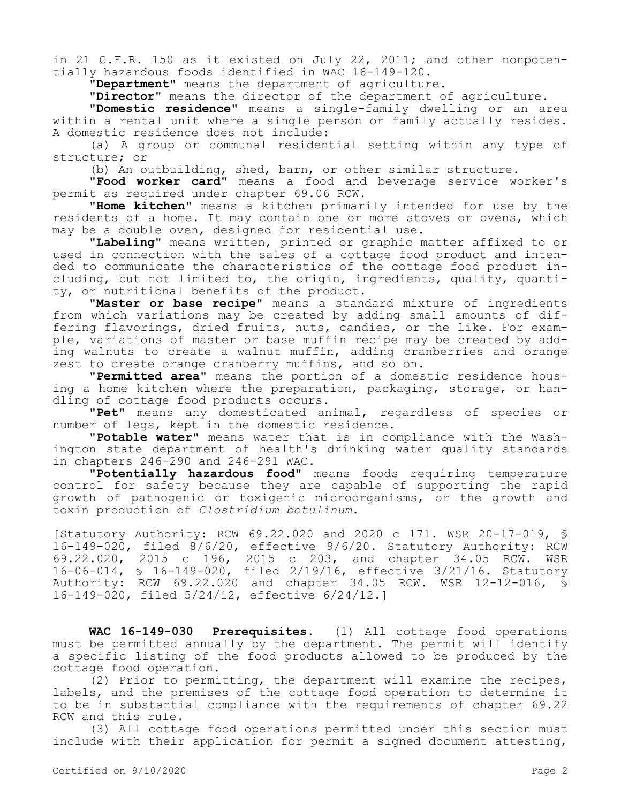in 21 C.F.R. 150 as it existed on July 22, 2011; and other nonpotentially hazardous foods identified in WAC 16-149-120.

**"Department"** means the department of agriculture.

**"Director"** means the director of the department of agriculture.

**"Domestic residence"** means a single-family dwelling or an area within a rental unit where a single person or family actually resides. A domestic residence does not include:

(a) A group or communal residential setting within any type of structure; or

(b) An outbuilding, shed, barn, or other similar structure.

**"Food worker card"** means a food and beverage service worker's permit as required under chapter 69.06 RCW.

**"Home kitchen"** means a kitchen primarily intended for use by the residents of a home. It may contain one or more stoves or ovens, which may be a double oven, designed for residential use.

**"Labeling"** means written, printed or graphic matter affixed to or used in connection with the sales of a cottage food product and intended to communicate the characteristics of the cottage food product including, but not limited to, the origin, ingredients, quality, quantity, or nutritional benefits of the product.

**"Master or base recipe"** means a standard mixture of ingredients from which variations may be created by adding small amounts of differing flavorings, dried fruits, nuts, candies, or the like. For example, variations of master or base muffin recipe may be created by adding walnuts to create a walnut muffin, adding cranberries and orange zest to create orange cranberry muffins, and so on.

**"Permitted area"** means the portion of a domestic residence housing a home kitchen where the preparation, packaging, storage, or handling of cottage food products occurs.

**"Pet"** means any domesticated animal, regardless of species or number of legs, kept in the domestic residence.

**"Potable water"** means water that is in compliance with the Washington state department of health's drinking water quality standards in chapters 246-290 and 246-291 WAC.

**"Potentially hazardous food"** means foods requiring temperature control for safety because they are capable of supporting the rapid growth of pathogenic or toxigenic microorganisms, or the growth and toxin production of *Clostridium botulinum*.

[Statutory Authority: RCW 69.22.020 and 2020 c 171. WSR 20-17-019, § 16-149-020, filed 8/6/20, effective 9/6/20. Statutory Authority: RCW 69.22.020, 2015 c 196, 2015 c 203, and chapter 34.05 RCW. WSR 16-06-014, § 16-149-020, filed 2/19/16, effective 3/21/16. Statutory Authority: RCW 69.22.020 and chapter 34.05 RCW. WSR 12-12-016, § 16-149-020, filed 5/24/12, effective 6/24/12.]

**WAC 16-149-030 Prerequisites.** (1) All cottage food operations must be permitted annually by the department. The permit will identify a specific listing of the food products allowed to be produced by the cottage food operation.

(2) Prior to permitting, the department will examine the recipes, labels, and the premises of the cottage food operation to determine it to be in substantial compliance with the requirements of chapter 69.22 RCW and this rule.

(3) All cottage food operations permitted under this section must include with their application for permit a signed document attesting,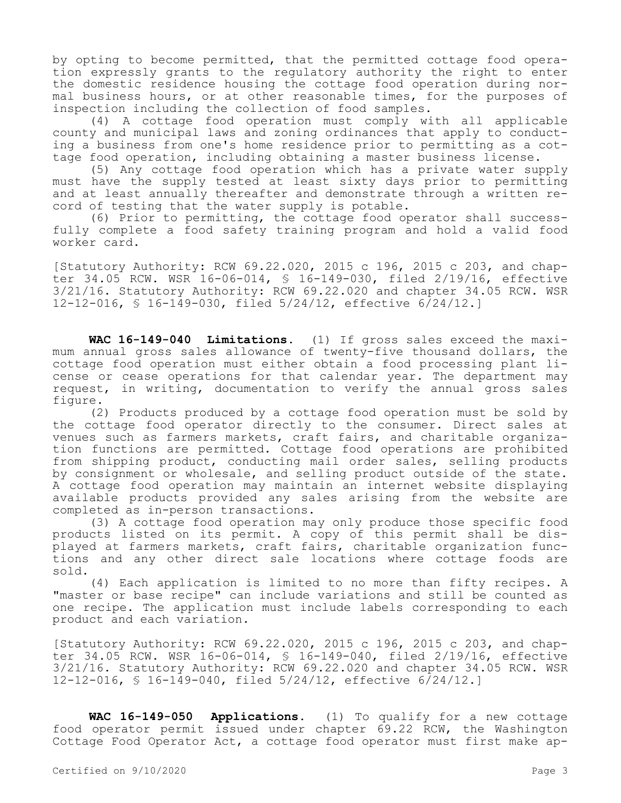by opting to become permitted, that the permitted cottage food operation expressly grants to the regulatory authority the right to enter the domestic residence housing the cottage food operation during normal business hours, or at other reasonable times, for the purposes of inspection including the collection of food samples.

(4) A cottage food operation must comply with all applicable county and municipal laws and zoning ordinances that apply to conducting a business from one's home residence prior to permitting as a cottage food operation, including obtaining a master business license.

(5) Any cottage food operation which has a private water supply must have the supply tested at least sixty days prior to permitting and at least annually thereafter and demonstrate through a written record of testing that the water supply is potable.

(6) Prior to permitting, the cottage food operator shall successfully complete a food safety training program and hold a valid food worker card.

[Statutory Authority: RCW 69.22.020, 2015 c 196, 2015 c 203, and chapter 34.05 RCW. WSR 16-06-014, § 16-149-030, filed 2/19/16, effective 3/21/16. Statutory Authority: RCW 69.22.020 and chapter 34.05 RCW. WSR 12-12-016, § 16-149-030, filed 5/24/12, effective 6/24/12.]

**WAC 16-149-040 Limitations.** (1) If gross sales exceed the maximum annual gross sales allowance of twenty-five thousand dollars, the cottage food operation must either obtain a food processing plant license or cease operations for that calendar year. The department may request, in writing, documentation to verify the annual gross sales figure.

(2) Products produced by a cottage food operation must be sold by the cottage food operator directly to the consumer. Direct sales at venues such as farmers markets, craft fairs, and charitable organization functions are permitted. Cottage food operations are prohibited from shipping product, conducting mail order sales, selling products by consignment or wholesale, and selling product outside of the state. A cottage food operation may maintain an internet website displaying available products provided any sales arising from the website are completed as in-person transactions.

(3) A cottage food operation may only produce those specific food products listed on its permit. A copy of this permit shall be displayed at farmers markets, craft fairs, charitable organization functions and any other direct sale locations where cottage foods are sold.

(4) Each application is limited to no more than fifty recipes. A "master or base recipe" can include variations and still be counted as one recipe. The application must include labels corresponding to each product and each variation.

[Statutory Authority: RCW 69.22.020, 2015 c 196, 2015 c 203, and chapter 34.05 RCW. WSR 16-06-014, § 16-149-040, filed 2/19/16, effective 3/21/16. Statutory Authority: RCW 69.22.020 and chapter 34.05 RCW. WSR 12-12-016, § 16-149-040, filed 5/24/12, effective 6/24/12.]

**WAC 16-149-050 Applications.** (1) To qualify for a new cottage food operator permit issued under chapter 69.22 RCW, the Washington Cottage Food Operator Act, a cottage food operator must first make ap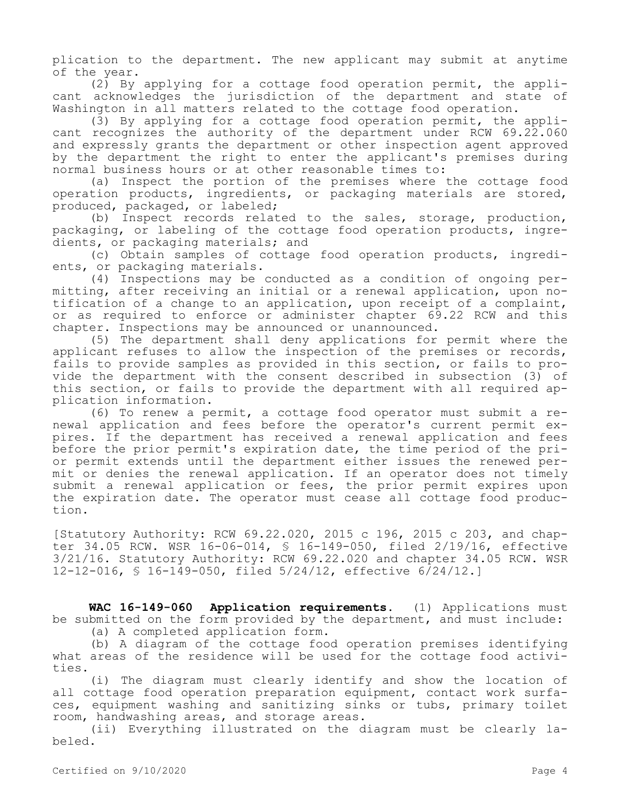plication to the department. The new applicant may submit at anytime of the year.

(2) By applying for a cottage food operation permit, the applicant acknowledges the jurisdiction of the department and state of Washington in all matters related to the cottage food operation.

(3) By applying for a cottage food operation permit, the applicant recognizes the authority of the department under RCW 69.22.060 and expressly grants the department or other inspection agent approved by the department the right to enter the applicant's premises during normal business hours or at other reasonable times to:

(a) Inspect the portion of the premises where the cottage food operation products, ingredients, or packaging materials are stored, produced, packaged, or labeled;

(b) Inspect records related to the sales, storage, production, packaging, or labeling of the cottage food operation products, ingredients, or packaging materials; and

(c) Obtain samples of cottage food operation products, ingredients, or packaging materials.

(4) Inspections may be conducted as a condition of ongoing permitting, after receiving an initial or a renewal application, upon notification of a change to an application, upon receipt of a complaint, or as required to enforce or administer chapter 69.22 RCW and this chapter. Inspections may be announced or unannounced.

(5) The department shall deny applications for permit where the applicant refuses to allow the inspection of the premises or records, fails to provide samples as provided in this section, or fails to provide the department with the consent described in subsection (3) of this section, or fails to provide the department with all required application information.

(6) To renew a permit, a cottage food operator must submit a renewal application and fees before the operator's current permit expires. If the department has received a renewal application and fees before the prior permit's expiration date, the time period of the prior permit extends until the department either issues the renewed permit or denies the renewal application. If an operator does not timely submit a renewal application or fees, the prior permit expires upon the expiration date. The operator must cease all cottage food production.

[Statutory Authority: RCW 69.22.020, 2015 c 196, 2015 c 203, and chapter 34.05 RCW. WSR 16-06-014, § 16-149-050, filed 2/19/16, effective 3/21/16. Statutory Authority: RCW 69.22.020 and chapter 34.05 RCW. WSR 12-12-016, § 16-149-050, filed 5/24/12, effective 6/24/12.]

**WAC 16-149-060 Application requirements.** (1) Applications must be submitted on the form provided by the department, and must include: (a) A completed application form.

(b) A diagram of the cottage food operation premises identifying what areas of the residence will be used for the cottage food activities.

(i) The diagram must clearly identify and show the location of all cottage food operation preparation equipment, contact work surfaces, equipment washing and sanitizing sinks or tubs, primary toilet room, handwashing areas, and storage areas.

(ii) Everything illustrated on the diagram must be clearly labeled.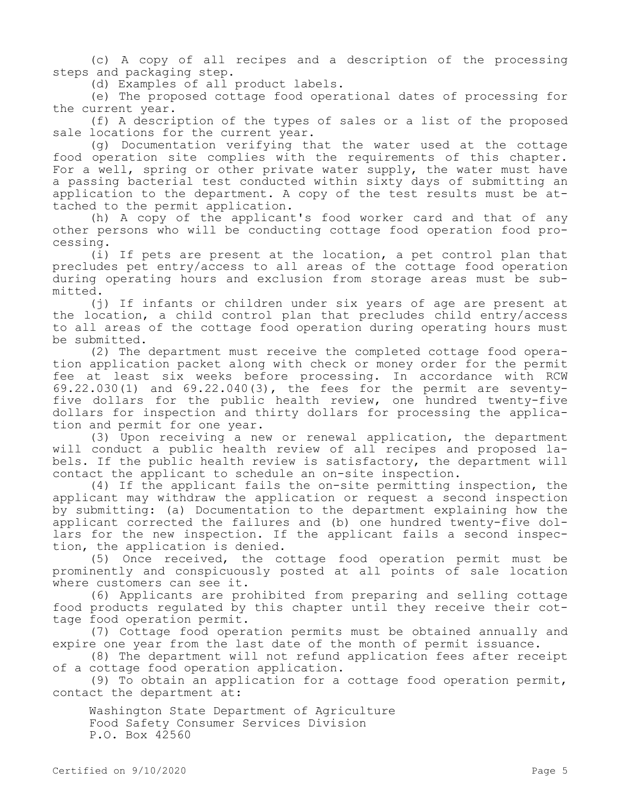(c) A copy of all recipes and a description of the processing steps and packaging step.

(d) Examples of all product labels.

(e) The proposed cottage food operational dates of processing for the current year.

(f) A description of the types of sales or a list of the proposed sale locations for the current year.

(g) Documentation verifying that the water used at the cottage food operation site complies with the requirements of this chapter. For a well, spring or other private water supply, the water must have a passing bacterial test conducted within sixty days of submitting an application to the department. A copy of the test results must be attached to the permit application.

(h) A copy of the applicant's food worker card and that of any other persons who will be conducting cottage food operation food processing.

(i) If pets are present at the location, a pet control plan that precludes pet entry/access to all areas of the cottage food operation during operating hours and exclusion from storage areas must be submitted.

(j) If infants or children under six years of age are present at the location, a child control plan that precludes child entry/access to all areas of the cottage food operation during operating hours must be submitted.

(2) The department must receive the completed cottage food operation application packet along with check or money order for the permit fee at least six weeks before processing. In accordance with RCW 69.22.030(1) and 69.22.040(3), the fees for the permit are seventyfive dollars for the public health review, one hundred twenty-five dollars for inspection and thirty dollars for processing the application and permit for one year.

(3) Upon receiving a new or renewal application, the department will conduct a public health review of all recipes and proposed labels. If the public health review is satisfactory, the department will contact the applicant to schedule an on-site inspection.

(4) If the applicant fails the on-site permitting inspection, the applicant may withdraw the application or request a second inspection by submitting: (a) Documentation to the department explaining how the applicant corrected the failures and (b) one hundred twenty-five dollars for the new inspection. If the applicant fails a second inspection, the application is denied.

(5) Once received, the cottage food operation permit must be prominently and conspicuously posted at all points of sale location where customers can see it.

(6) Applicants are prohibited from preparing and selling cottage food products regulated by this chapter until they receive their cottage food operation permit.

(7) Cottage food operation permits must be obtained annually and expire one year from the last date of the month of permit issuance.

(8) The department will not refund application fees after receipt of a cottage food operation application.

(9) To obtain an application for a cottage food operation permit, contact the department at:

Washington State Department of Agriculture Food Safety Consumer Services Division P.O. Box 42560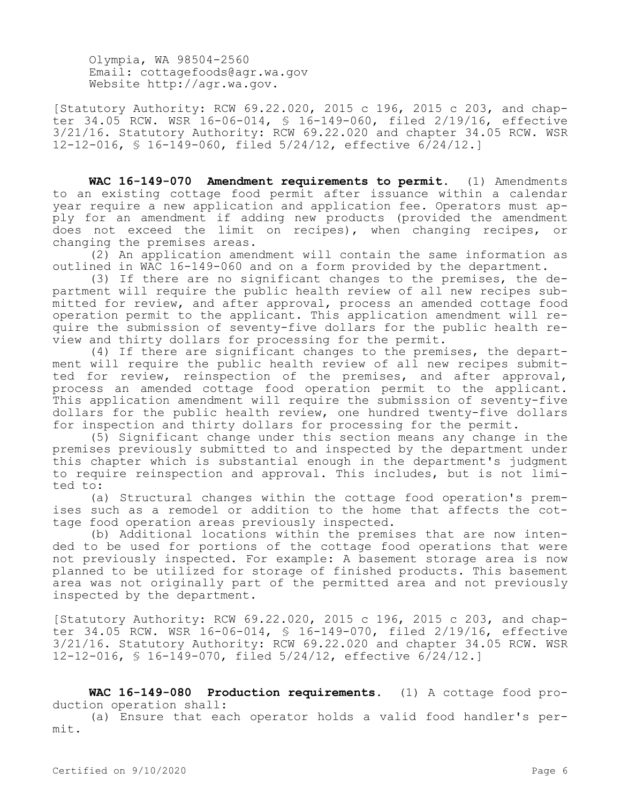Olympia, WA 98504-2560 Email: cottagefoods@agr.wa.gov Website http://agr.wa.gov.

[Statutory Authority: RCW 69.22.020, 2015 c 196, 2015 c 203, and chapter 34.05 RCW. WSR 16-06-014, § 16-149-060, filed 2/19/16, effective 3/21/16. Statutory Authority: RCW 69.22.020 and chapter 34.05 RCW. WSR 12-12-016, § 16-149-060, filed 5/24/12, effective 6/24/12.]

**WAC 16-149-070 Amendment requirements to permit.** (1) Amendments to an existing cottage food permit after issuance within a calendar year require a new application and application fee. Operators must apply for an amendment if adding new products (provided the amendment does not exceed the limit on recipes), when changing recipes, or changing the premises areas.

(2) An application amendment will contain the same information as outlined in WAC 16-149-060 and on a form provided by the department.

(3) If there are no significant changes to the premises, the department will require the public health review of all new recipes submitted for review, and after approval, process an amended cottage food operation permit to the applicant. This application amendment will require the submission of seventy-five dollars for the public health review and thirty dollars for processing for the permit.

(4) If there are significant changes to the premises, the department will require the public health review of all new recipes submitted for review, reinspection of the premises, and after approval, process an amended cottage food operation permit to the applicant. This application amendment will require the submission of seventy-five dollars for the public health review, one hundred twenty-five dollars for inspection and thirty dollars for processing for the permit.

(5) Significant change under this section means any change in the premises previously submitted to and inspected by the department under this chapter which is substantial enough in the department's judgment to require reinspection and approval. This includes, but is not limited to:

(a) Structural changes within the cottage food operation's premises such as a remodel or addition to the home that affects the cottage food operation areas previously inspected.

(b) Additional locations within the premises that are now intended to be used for portions of the cottage food operations that were not previously inspected. For example: A basement storage area is now planned to be utilized for storage of finished products. This basement area was not originally part of the permitted area and not previously inspected by the department.

[Statutory Authority: RCW 69.22.020, 2015 c 196, 2015 c 203, and chapter 34.05 RCW. WSR 16-06-014, § 16-149-070, filed 2/19/16, effective 3/21/16. Statutory Authority: RCW 69.22.020 and chapter 34.05 RCW. WSR 12-12-016, § 16-149-070, filed 5/24/12, effective 6/24/12.]

**WAC 16-149-080 Production requirements.** (1) A cottage food production operation shall:

(a) Ensure that each operator holds a valid food handler's permit.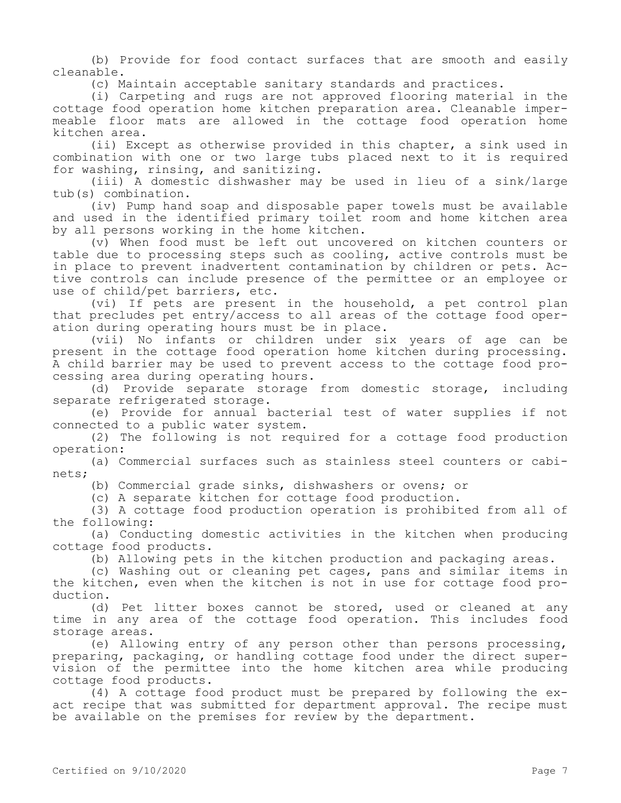(b) Provide for food contact surfaces that are smooth and easily cleanable.

(c) Maintain acceptable sanitary standards and practices.

(i) Carpeting and rugs are not approved flooring material in the cottage food operation home kitchen preparation area. Cleanable impermeable floor mats are allowed in the cottage food operation home kitchen area.

(ii) Except as otherwise provided in this chapter, a sink used in combination with one or two large tubs placed next to it is required for washing, rinsing, and sanitizing.

(iii) A domestic dishwasher may be used in lieu of a sink/large tub(s) combination.

(iv) Pump hand soap and disposable paper towels must be available and used in the identified primary toilet room and home kitchen area by all persons working in the home kitchen.

(v) When food must be left out uncovered on kitchen counters or table due to processing steps such as cooling, active controls must be in place to prevent inadvertent contamination by children or pets. Active controls can include presence of the permittee or an employee or use of child/pet barriers, etc.

(vi) If pets are present in the household, a pet control plan that precludes pet entry/access to all areas of the cottage food operation during operating hours must be in place.

(vii) No infants or children under six years of age can be present in the cottage food operation home kitchen during processing. A child barrier may be used to prevent access to the cottage food processing area during operating hours.

(d) Provide separate storage from domestic storage, including separate refrigerated storage.

(e) Provide for annual bacterial test of water supplies if not connected to a public water system.

(2) The following is not required for a cottage food production operation:

(a) Commercial surfaces such as stainless steel counters or cabinets;

(b) Commercial grade sinks, dishwashers or ovens; or

(c) A separate kitchen for cottage food production.

(3) A cottage food production operation is prohibited from all of the following:

(a) Conducting domestic activities in the kitchen when producing cottage food products.

(b) Allowing pets in the kitchen production and packaging areas.

(c) Washing out or cleaning pet cages, pans and similar items in the kitchen, even when the kitchen is not in use for cottage food production.

(d) Pet litter boxes cannot be stored, used or cleaned at any time in any area of the cottage food operation. This includes food storage areas.

(e) Allowing entry of any person other than persons processing, preparing, packaging, or handling cottage food under the direct supervision of the permittee into the home kitchen area while producing cottage food products.

(4) A cottage food product must be prepared by following the exact recipe that was submitted for department approval. The recipe must be available on the premises for review by the department.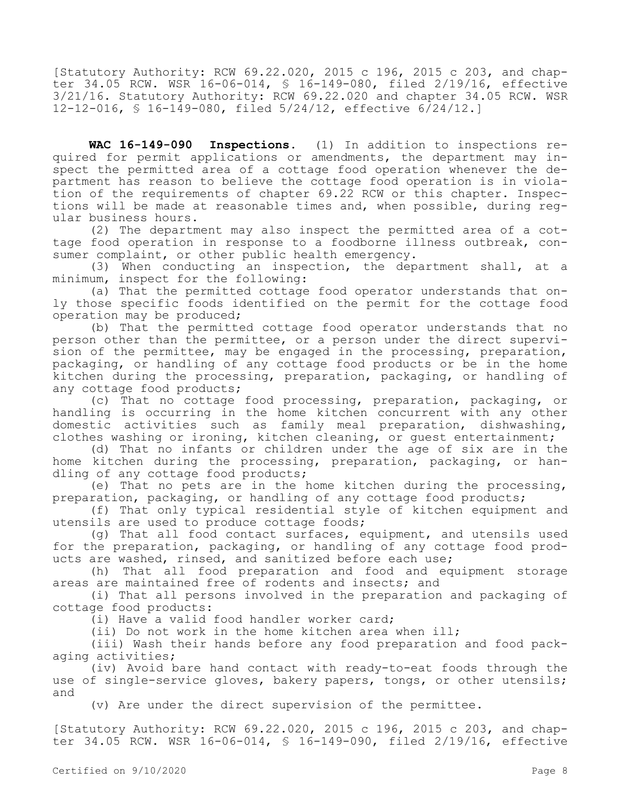[Statutory Authority: RCW 69.22.020, 2015 c 196, 2015 c 203, and chapter 34.05 RCW. WSR 16-06-014, § 16-149-080, filed 2/19/16, effective 3/21/16. Statutory Authority: RCW 69.22.020 and chapter 34.05 RCW. WSR 12-12-016, § 16-149-080, filed 5/24/12, effective 6/24/12.]

**WAC 16-149-090 Inspections.** (1) In addition to inspections required for permit applications or amendments, the department may inspect the permitted area of a cottage food operation whenever the department has reason to believe the cottage food operation is in violation of the requirements of chapter 69.22 RCW or this chapter. Inspections will be made at reasonable times and, when possible, during regular business hours.

(2) The department may also inspect the permitted area of a cottage food operation in response to a foodborne illness outbreak, consumer complaint, or other public health emergency.

(3) When conducting an inspection, the department shall, at a minimum, inspect for the following:

(a) That the permitted cottage food operator understands that only those specific foods identified on the permit for the cottage food operation may be produced;

(b) That the permitted cottage food operator understands that no person other than the permittee, or a person under the direct supervision of the permittee, may be engaged in the processing, preparation, packaging, or handling of any cottage food products or be in the home kitchen during the processing, preparation, packaging, or handling of any cottage food products;

(c) That no cottage food processing, preparation, packaging, or handling is occurring in the home kitchen concurrent with any other domestic activities such as family meal preparation, dishwashing, clothes washing or ironing, kitchen cleaning, or guest entertainment;

(d) That no infants or children under the age of six are in the home kitchen during the processing, preparation, packaging, or handling of any cottage food products;

(e) That no pets are in the home kitchen during the processing, preparation, packaging, or handling of any cottage food products;

(f) That only typical residential style of kitchen equipment and utensils are used to produce cottage foods;

(g) That all food contact surfaces, equipment, and utensils used for the preparation, packaging, or handling of any cottage food products are washed, rinsed, and sanitized before each use;

(h) That all food preparation and food and equipment storage areas are maintained free of rodents and insects; and

(i) That all persons involved in the preparation and packaging of cottage food products:

(i) Have a valid food handler worker card;

(ii) Do not work in the home kitchen area when ill;

(iii) Wash their hands before any food preparation and food packaging activities;

(iv) Avoid bare hand contact with ready-to-eat foods through the use of single-service gloves, bakery papers, tongs, or other utensils; and

(v) Are under the direct supervision of the permittee.

[Statutory Authority: RCW 69.22.020, 2015 c 196, 2015 c 203, and chapter 34.05 RCW. WSR 16-06-014, § 16-149-090, filed 2/19/16, effective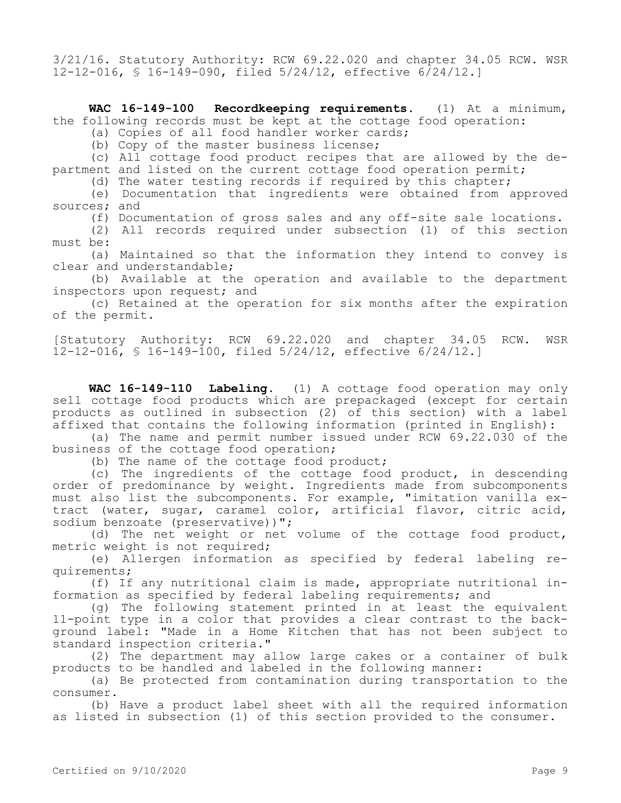3/21/16. Statutory Authority: RCW 69.22.020 and chapter 34.05 RCW. WSR 12-12-016, § 16-149-090, filed 5/24/12, effective 6/24/12.]

**WAC 16-149-100 Recordkeeping requirements.** (1) At a minimum, the following records must be kept at the cottage food operation:

(a) Copies of all food handler worker cards;

(b) Copy of the master business license;

(c) All cottage food product recipes that are allowed by the department and listed on the current cottage food operation permit;

(d) The water testing records if required by this chapter;

(e) Documentation that ingredients were obtained from approved sources; and

(f) Documentation of gross sales and any off-site sale locations.

(2) All records required under subsection (1) of this section must be:

(a) Maintained so that the information they intend to convey is clear and understandable;

(b) Available at the operation and available to the department inspectors upon request; and

(c) Retained at the operation for six months after the expiration of the permit.

[Statutory Authority: RCW 69.22.020 and chapter 34.05 RCW. WSR 12-12-016, § 16-149-100, filed 5/24/12, effective 6/24/12.]

**WAC 16-149-110 Labeling.** (1) A cottage food operation may only sell cottage food products which are prepackaged (except for certain products as outlined in subsection (2) of this section) with a label .<br>affixed that contains the following information (printed in English):

(a) The name and permit number issued under RCW 69.22.030 of the business of the cottage food operation;

(b) The name of the cottage food product;

(c) The ingredients of the cottage food product, in descending order of predominance by weight. Ingredients made from subcomponents must also list the subcomponents. For example, "imitation vanilla extract (water, sugar, caramel color, artificial flavor, citric acid, sodium benzoate (preservative))";

(d) The net weight or net volume of the cottage food product, metric weight is not required;

(e) Allergen information as specified by federal labeling requirements;

(f) If any nutritional claim is made, appropriate nutritional information as specified by federal labeling requirements; and

(g) The following statement printed in at least the equivalent 11-point type in a color that provides a clear contrast to the background label: "Made in a Home Kitchen that has not been subject to standard inspection criteria."

(2) The department may allow large cakes or a container of bulk products to be handled and labeled in the following manner:

(a) Be protected from contamination during transportation to the consumer.

(b) Have a product label sheet with all the required information as listed in subsection (1) of this section provided to the consumer.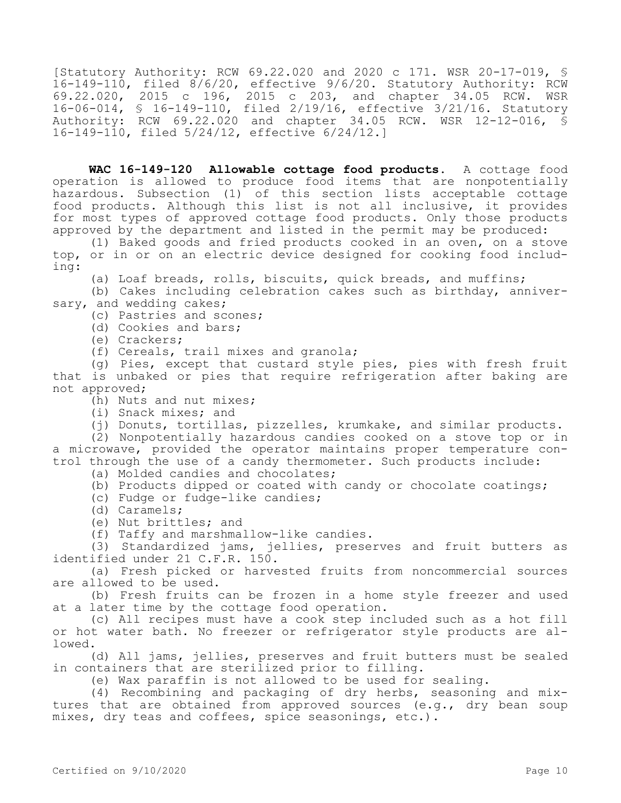[Statutory Authority: RCW 69.22.020 and 2020 c 171. WSR 20-17-019, § 16-149-110, filed 8/6/20, effective 9/6/20. Statutory Authority: RCW 69.22.020, 2015 c 196, 2015 c 203, and chapter 34.05 RCW. WSR 16-06-014, § 16-149-110, filed 2/19/16, effective 3/21/16. Statutory Authority: RCW 69.22.020 and chapter 34.05 RCW. WSR 12-12-016, § 16-149-110, filed 5/24/12, effective 6/24/12.]

**WAC 16-149-120 Allowable cottage food products.** A cottage food operation is allowed to produce food items that are nonpotentially hazardous. Subsection (1) of this section lists acceptable cottage food products. Although this list is not all inclusive, it provides for most types of approved cottage food products. Only those products approved by the department and listed in the permit may be produced:

(1) Baked goods and fried products cooked in an oven, on a stove top, or in or on an electric device designed for cooking food including:

(a) Loaf breads, rolls, biscuits, quick breads, and muffins;

(b) Cakes including celebration cakes such as birthday, anniversary, and wedding cakes;

(c) Pastries and scones;

- (d) Cookies and bars;
- (e) Crackers;

(f) Cereals, trail mixes and granola;

(g) Pies, except that custard style pies, pies with fresh fruit that is unbaked or pies that require refrigeration after baking are not approved;

(h) Nuts and nut mixes;

(i) Snack mixes; and

(j) Donuts, tortillas, pizzelles, krumkake, and similar products.

(2) Nonpotentially hazardous candies cooked on a stove top or in a microwave, provided the operator maintains proper temperature control through the use of a candy thermometer. Such products include:

(a) Molded candies and chocolates;

(b) Products dipped or coated with candy or chocolate coatings;

(c) Fudge or fudge-like candies;

(d) Caramels;

- (e) Nut brittles; and
- (f) Taffy and marshmallow-like candies.

(3) Standardized jams, jellies, preserves and fruit butters as identified under 21 C.F.R. 150.

(a) Fresh picked or harvested fruits from noncommercial sources are allowed to be used.

(b) Fresh fruits can be frozen in a home style freezer and used at a later time by the cottage food operation.

(c) All recipes must have a cook step included such as a hot fill or hot water bath. No freezer or refrigerator style products are allowed.

(d) All jams, jellies, preserves and fruit butters must be sealed in containers that are sterilized prior to filling.

(e) Wax paraffin is not allowed to be used for sealing.

(4) Recombining and packaging of dry herbs, seasoning and mixtures that are obtained from approved sources (e.g., dry bean soup mixes, dry teas and coffees, spice seasonings, etc.).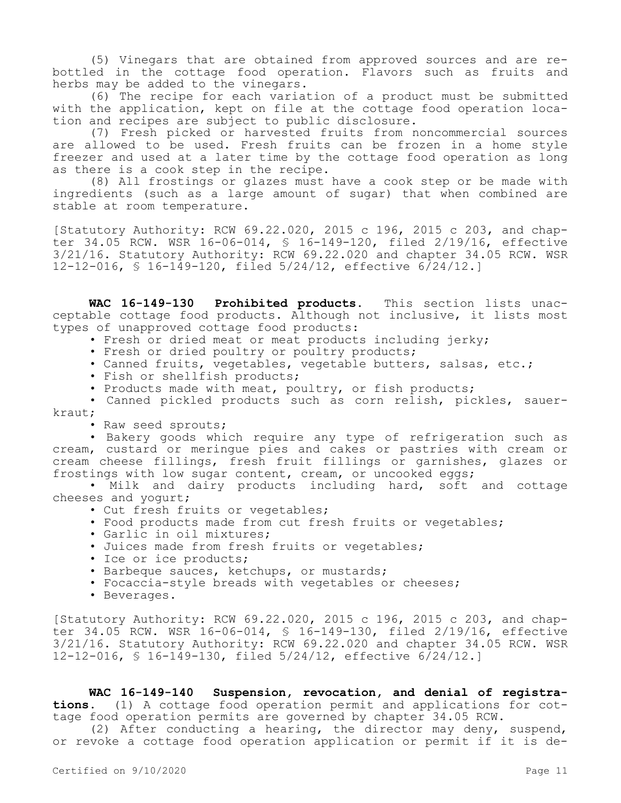(5) Vinegars that are obtained from approved sources and are rebottled in the cottage food operation. Flavors such as fruits and herbs may be added to the vinegars.

(6) The recipe for each variation of a product must be submitted with the application, kept on file at the cottage food operation location and recipes are subject to public disclosure.

(7) Fresh picked or harvested fruits from noncommercial sources are allowed to be used. Fresh fruits can be frozen in a home style freezer and used at a later time by the cottage food operation as long as there is a cook step in the recipe.

(8) All frostings or glazes must have a cook step or be made with ingredients (such as a large amount of sugar) that when combined are stable at room temperature.

[Statutory Authority: RCW 69.22.020, 2015 c 196, 2015 c 203, and chapter 34.05 RCW. WSR 16-06-014, § 16-149-120, filed 2/19/16, effective 3/21/16. Statutory Authority: RCW 69.22.020 and chapter 34.05 RCW. WSR 12-12-016, § 16-149-120, filed 5/24/12, effective 6/24/12.]

**WAC 16-149-130 Prohibited products.** This section lists unacceptable cottage food products. Although not inclusive, it lists most types of unapproved cottage food products:

• Fresh or dried meat or meat products including jerky;

• Fresh or dried poultry or poultry products;

• Canned fruits, vegetables, vegetable butters, salsas, etc.;

• Fish or shellfish products;

• Products made with meat, poultry, or fish products;

• Canned pickled products such as corn relish, pickles, sauerkraut;

• Raw seed sprouts;

• Bakery goods which require any type of refrigeration such as cream, custard or meringue pies and cakes or pastries with cream or cream cheese fillings, fresh fruit fillings or garnishes, glazes or frostings with low sugar content, cream, or uncooked eggs;

• Milk and dairy products including hard, soft and cottage cheeses and yogurt;

- Cut fresh fruits or vegetables;
- Food products made from cut fresh fruits or vegetables;
- Garlic in oil mixtures;
- Juices made from fresh fruits or vegetables;
- Ice or ice products;
- Barbeque sauces, ketchups, or mustards;
- Focaccia-style breads with vegetables or cheeses;
- Beverages.

[Statutory Authority: RCW 69.22.020, 2015 c 196, 2015 c 203, and chapter 34.05 RCW. WSR 16-06-014, § 16-149-130, filed 2/19/16, effective 3/21/16. Statutory Authority: RCW 69.22.020 and chapter 34.05 RCW. WSR 12-12-016, § 16-149-130, filed 5/24/12, effective 6/24/12.]

**WAC 16-149-140 Suspension, revocation, and denial of registrations.** (1) A cottage food operation permit and applications for cottage food operation permits are governed by chapter 34.05 RCW.

(2) After conducting a hearing, the director may deny, suspend, or revoke a cottage food operation application or permit if it is de